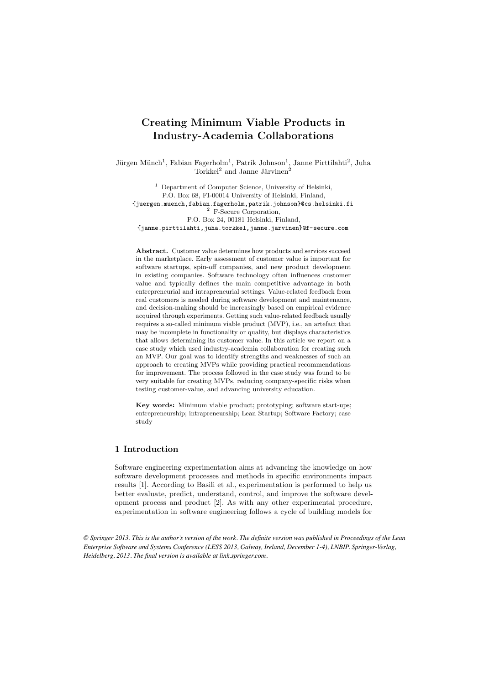# Creating Minimum Viable Products in Industry-Academia Collaborations

Jürgen Münch<sup>1</sup>, Fabian Fagerholm<sup>1</sup>, Patrik Johnson<sup>1</sup>, Janne Pirttilahti<sup>2</sup>, Juha Torkkel<sup>2</sup> and Janne Järvinen<sup>2</sup>

<sup>1</sup> Department of Computer Science, University of Helsinki, P.O. Box 68, FI-00014 University of Helsinki, Finland, {juergen.muench,fabian.fagerholm,patrik.johnson}@cs.helsinki.fi <sup>2</sup> F-Secure Corporation, P.O. Box 24, 00181 Helsinki, Finland, {janne.pirttilahti,juha.torkkel,janne.jarvinen}@f-secure.com

Abstract. Customer value determines how products and services succeed in the marketplace. Early assessment of customer value is important for software startups, spin-off companies, and new product development in existing companies. Software technology often influences customer value and typically defines the main competitive advantage in both entrepreneurial and intrapreneurial settings. Value-related feedback from real customers is needed during software development and maintenance, and decision-making should be increasingly based on empirical evidence acquired through experiments. Getting such value-related feedback usually requires a so-called minimum viable product (MVP), i.e., an artefact that may be incomplete in functionality or quality, but displays characteristics that allows determining its customer value. In this article we report on a case study which used industry-academia collaboration for creating such an MVP. Our goal was to identify strengths and weaknesses of such an approach to creating MVPs while providing practical recommendations for improvement. The process followed in the case study was found to be very suitable for creating MVPs, reducing company-specific risks when testing customer-value, and advancing university education.

Key words: Minimum viable product; prototyping; software start-ups; entrepreneurship; intrapreneurship; Lean Startup; Software Factory; case study

# 1 Introduction

Software engineering experimentation aims at advancing the knowledge on how software development processes and methods in specific environments impact results [1]. According to Basili et al., experimentation is performed to help us better evaluate, predict, understand, control, and improve the software development process and product [2]. As with any other experimental procedure, experimentation in software engineering follows a cycle of building models for

*© Springer 2013. This is the author's version of the work. The definite version was published in Proceedings of the Lean Enterprise Software and Systems Conference (LESS 2013, Galway, Ireland, December 1-4), LNBIP. Springer-Verlag, Heidelberg, 2013. The final version is available at link.springer.com.*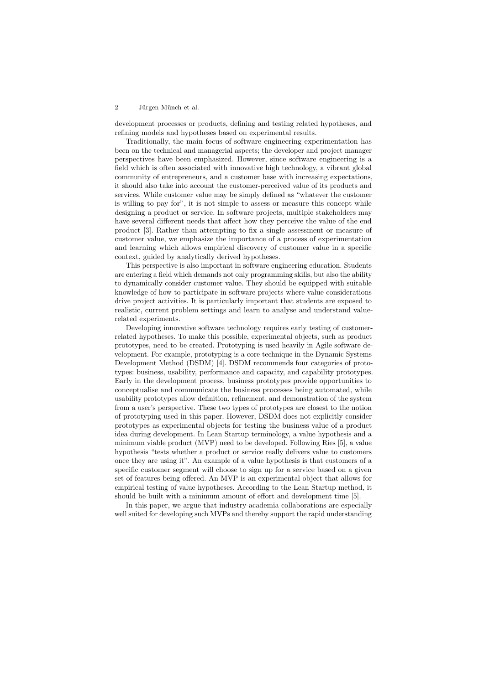development processes or products, defining and testing related hypotheses, and refining models and hypotheses based on experimental results.

Traditionally, the main focus of software engineering experimentation has been on the technical and managerial aspects; the developer and project manager perspectives have been emphasized. However, since software engineering is a field which is often associated with innovative high technology, a vibrant global community of entrepreneurs, and a customer base with increasing expectations, it should also take into account the customer-perceived value of its products and services. While customer value may be simply defined as "whatever the customer is willing to pay for", it is not simple to assess or measure this concept while designing a product or service. In software projects, multiple stakeholders may have several different needs that affect how they perceive the value of the end product [3]. Rather than attempting to fix a single assessment or measure of customer value, we emphasize the importance of a process of experimentation and learning which allows empirical discovery of customer value in a specific context, guided by analytically derived hypotheses.

This perspective is also important in software engineering education. Students are entering a field which demands not only programming skills, but also the ability to dynamically consider customer value. They should be equipped with suitable knowledge of how to participate in software projects where value considerations drive project activities. It is particularly important that students are exposed to realistic, current problem settings and learn to analyse and understand valuerelated experiments.

Developing innovative software technology requires early testing of customerrelated hypotheses. To make this possible, experimental objects, such as product prototypes, need to be created. Prototyping is used heavily in Agile software development. For example, prototyping is a core technique in the Dynamic Systems Development Method (DSDM) [4]. DSDM recommends four categories of prototypes: business, usability, performance and capacity, and capability prototypes. Early in the development process, business prototypes provide opportunities to conceptualise and communicate the business processes being automated, while usability prototypes allow definition, refinement, and demonstration of the system from a user's perspective. These two types of prototypes are closest to the notion of prototyping used in this paper. However, DSDM does not explicitly consider prototypes as experimental objects for testing the business value of a product idea during development. In Lean Startup terminology, a value hypothesis and a minimum viable product (MVP) need to be developed. Following Ries [5], a value hypothesis "tests whether a product or service really delivers value to customers once they are using it". An example of a value hypothesis is that customers of a specific customer segment will choose to sign up for a service based on a given set of features being offered. An MVP is an experimental object that allows for empirical testing of value hypotheses. According to the Lean Startup method, it should be built with a minimum amount of effort and development time [5].

In this paper, we argue that industry-academia collaborations are especially well suited for developing such MVPs and thereby support the rapid understanding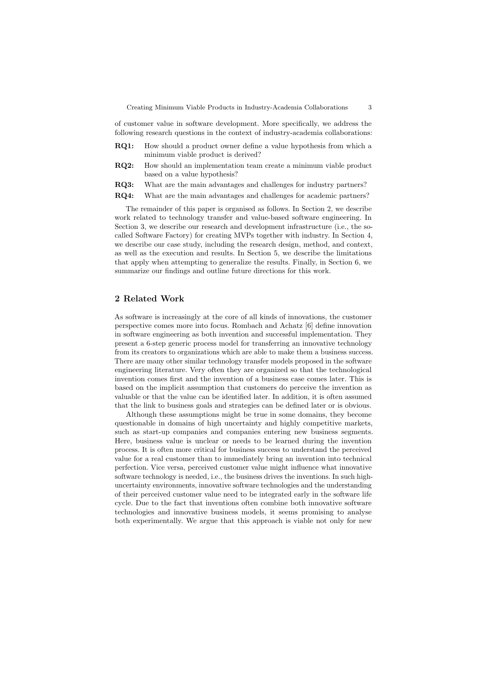of customer value in software development. More specifically, we address the following research questions in the context of industry-academia collaborations:

- RQ1: How should a product owner define a value hypothesis from which a minimum viable product is derived?
- RQ2: How should an implementation team create a minimum viable product based on a value hypothesis?
- RQ3: What are the main advantages and challenges for industry partners?
- RQ4: What are the main advantages and challenges for academic partners?

The remainder of this paper is organised as follows. In Section 2, we describe work related to technology transfer and value-based software engineering. In Section 3, we describe our research and development infrastructure (i.e., the socalled Software Factory) for creating MVPs together with industry. In Section 4, we describe our case study, including the research design, method, and context, as well as the execution and results. In Section 5, we describe the limitations that apply when attempting to generalize the results. Finally, in Section 6, we summarize our findings and outline future directions for this work.

# 2 Related Work

As software is increasingly at the core of all kinds of innovations, the customer perspective comes more into focus. Rombach and Achatz [6] define innovation in software engineering as both invention and successful implementation. They present a 6-step generic process model for transferring an innovative technology from its creators to organizations which are able to make them a business success. There are many other similar technology transfer models proposed in the software engineering literature. Very often they are organized so that the technological invention comes first and the invention of a business case comes later. This is based on the implicit assumption that customers do perceive the invention as valuable or that the value can be identified later. In addition, it is often assumed that the link to business goals and strategies can be defined later or is obvious.

Although these assumptions might be true in some domains, they become questionable in domains of high uncertainty and highly competitive markets, such as start-up companies and companies entering new business segments. Here, business value is unclear or needs to be learned during the invention process. It is often more critical for business success to understand the perceived value for a real customer than to immediately bring an invention into technical perfection. Vice versa, perceived customer value might influence what innovative software technology is needed, i.e., the business drives the inventions. In such highuncertainty environments, innovative software technologies and the understanding of their perceived customer value need to be integrated early in the software life cycle. Due to the fact that inventions often combine both innovative software technologies and innovative business models, it seems promising to analyse both experimentally. We argue that this approach is viable not only for new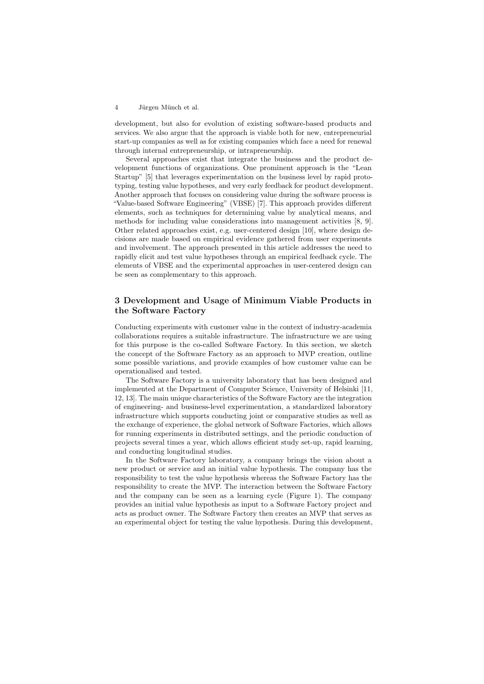development, but also for evolution of existing software-based products and services. We also argue that the approach is viable both for new, entrepreneurial start-up companies as well as for existing companies which face a need for renewal through internal entrepreneurship, or intrapreneurship.

Several approaches exist that integrate the business and the product development functions of organizations. One prominent approach is the "Lean Startup" [5] that leverages experimentation on the business level by rapid prototyping, testing value hypotheses, and very early feedback for product development. Another approach that focuses on considering value during the software process is "Value-based Software Engineering" (VBSE) [7]. This approach provides different elements, such as techniques for determining value by analytical means, and methods for including value considerations into management activities [8, 9]. Other related approaches exist, e.g. user-centered design [10], where design decisions are made based on empirical evidence gathered from user experiments and involvement. The approach presented in this article addresses the need to rapidly elicit and test value hypotheses through an empirical feedback cycle. The elements of VBSE and the experimental approaches in user-centered design can be seen as complementary to this approach.

# 3 Development and Usage of Minimum Viable Products in the Software Factory

Conducting experiments with customer value in the context of industry-academia collaborations requires a suitable infrastructure. The infrastructure we are using for this purpose is the co-called Software Factory. In this section, we sketch the concept of the Software Factory as an approach to MVP creation, outline some possible variations, and provide examples of how customer value can be operationalised and tested.

The Software Factory is a university laboratory that has been designed and implemented at the Department of Computer Science, University of Helsinki [11, 12, 13]. The main unique characteristics of the Software Factory are the integration of engineering- and business-level experimentation, a standardized laboratory infrastructure which supports conducting joint or comparative studies as well as the exchange of experience, the global network of Software Factories, which allows for running experiments in distributed settings, and the periodic conduction of projects several times a year, which allows ecient study set-up, rapid learning, and conducting longitudinal studies.

In the Software Factory laboratory, a company brings the vision about a new product or service and an initial value hypothesis. The company has the responsibility to test the value hypothesis whereas the Software Factory has the responsibility to create the MVP. The interaction between the Software Factory and the company can be seen as a learning cycle (Figure 1). The company provides an initial value hypothesis as input to a Software Factory project and acts as product owner. The Software Factory then creates an MVP that serves as an experimental object for testing the value hypothesis. During this development,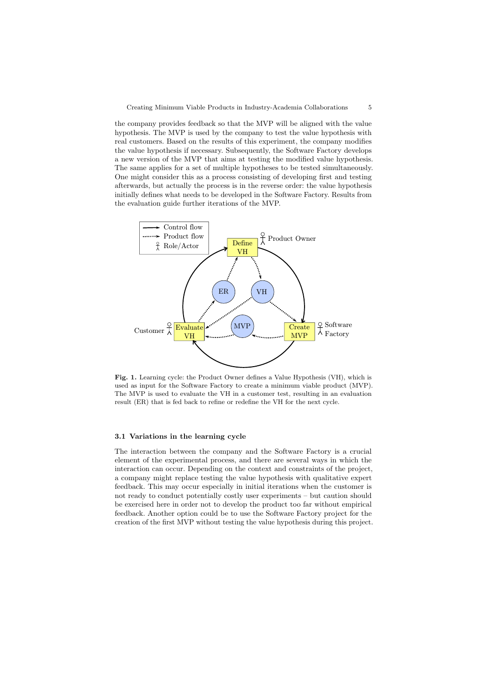the company provides feedback so that the MVP will be aligned with the value hypothesis. The MVP is used by the company to test the value hypothesis with real customers. Based on the results of this experiment, the company modifies the value hypothesis if necessary. Subsequently, the Software Factory develops a new version of the MVP that aims at testing the modified value hypothesis. The same applies for a set of multiple hypotheses to be tested simultaneously. One might consider this as a process consisting of developing first and testing afterwards, but actually the process is in the reverse order: the value hypothesis initially defines what needs to be developed in the Software Factory. Results from the evaluation guide further iterations of the MVP.



Fig. 1. Learning cycle: the Product Owner defines a Value Hypothesis (VH), which is used as input for the Software Factory to create a minimum viable product (MVP). The MVP is used to evaluate the VH in a customer test, resulting in an evaluation result (ER) that is fed back to refine or redefine the VH for the next cycle.

### 3.1 Variations in the learning cycle

The interaction between the company and the Software Factory is a crucial element of the experimental process, and there are several ways in which the interaction can occur. Depending on the context and constraints of the project, a company might replace testing the value hypothesis with qualitative expert feedback. This may occur especially in initial iterations when the customer is not ready to conduct potentially costly user experiments – but caution should be exercised here in order not to develop the product too far without empirical feedback. Another option could be to use the Software Factory project for the creation of the first MVP without testing the value hypothesis during this project.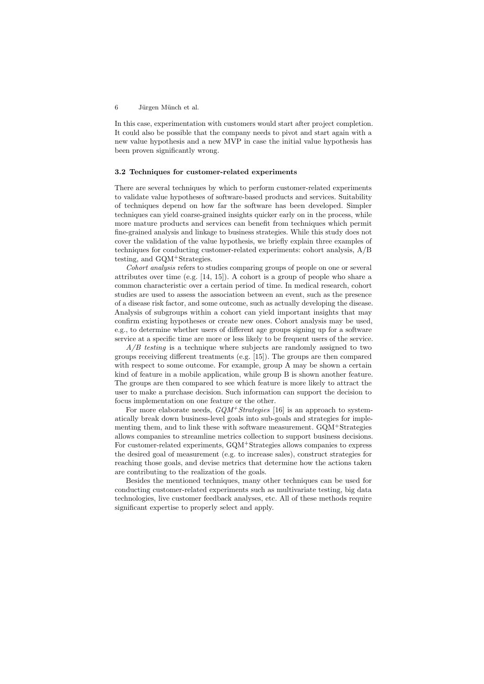In this case, experimentation with customers would start after project completion. It could also be possible that the company needs to pivot and start again with a new value hypothesis and a new MVP in case the initial value hypothesis has been proven significantly wrong.

## 3.2 Techniques for customer-related experiments

There are several techniques by which to perform customer-related experiments to validate value hypotheses of software-based products and services. Suitability of techniques depend on how far the software has been developed. Simpler techniques can yield coarse-grained insights quicker early on in the process, while more mature products and services can benefit from techniques which permit fine-grained analysis and linkage to business strategies. While this study does not cover the validation of the value hypothesis, we briefly explain three examples of techniques for conducting customer-related experiments: cohort analysis, A/B testing, and GQM<sup>+</sup>Strategies.

*Cohort analysis* refers to studies comparing groups of people on one or several attributes over time (e.g. [14, 15]). A cohort is a group of people who share a common characteristic over a certain period of time. In medical research, cohort studies are used to assess the association between an event, such as the presence of a disease risk factor, and some outcome, such as actually developing the disease. Analysis of subgroups within a cohort can yield important insights that may confirm existing hypotheses or create new ones. Cohort analysis may be used, e.g., to determine whether users of different age groups signing up for a software service at a specific time are more or less likely to be frequent users of the service.

*A/B testing* is a technique where subjects are randomly assigned to two groups receiving different treatments (e.g.  $[15]$ ). The groups are then compared with respect to some outcome. For example, group A may be shown a certain kind of feature in a mobile application, while group B is shown another feature. The groups are then compared to see which feature is more likely to attract the user to make a purchase decision. Such information can support the decision to focus implementation on one feature or the other.

For more elaborate needs, *GQM<sup>+</sup>Strategies* [16] is an approach to systematically break down business-level goals into sub-goals and strategies for implementing them, and to link these with software measurement. GQM<sup>+</sup>Strategies allows companies to streamline metrics collection to support business decisions. For customer-related experiments, GQM+Strategies allows companies to express the desired goal of measurement (e.g. to increase sales), construct strategies for reaching those goals, and devise metrics that determine how the actions taken are contributing to the realization of the goals.

Besides the mentioned techniques, many other techniques can be used for conducting customer-related experiments such as multivariate testing, big data technologies, live customer feedback analyses, etc. All of these methods require significant expertise to properly select and apply.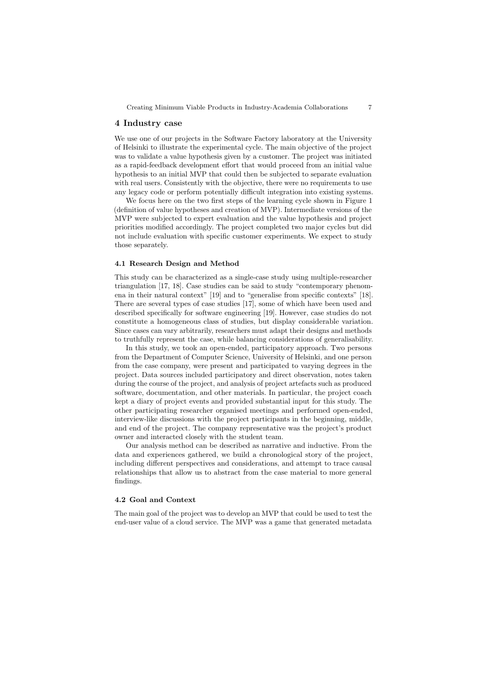Creating Minimum Viable Products in Industry-Academia Collaborations 7

## 4 Industry case

We use one of our projects in the Software Factory laboratory at the University of Helsinki to illustrate the experimental cycle. The main objective of the project was to validate a value hypothesis given by a customer. The project was initiated as a rapid-feedback development effort that would proceed from an initial value hypothesis to an initial MVP that could then be subjected to separate evaluation with real users. Consistently with the objective, there were no requirements to use any legacy code or perform potentially difficult integration into existing systems.

We focus here on the two first steps of the learning cycle shown in Figure 1 (definition of value hypotheses and creation of MVP). Intermediate versions of the MVP were subjected to expert evaluation and the value hypothesis and project priorities modified accordingly. The project completed two major cycles but did not include evaluation with specific customer experiments. We expect to study those separately.

## 4.1 Research Design and Method

This study can be characterized as a single-case study using multiple-researcher triangulation [17, 18]. Case studies can be said to study "contemporary phenomena in their natural context" [19] and to "generalise from specific contexts" [18]. There are several types of case studies [17], some of which have been used and described specifically for software engineering [19]. However, case studies do not constitute a homogeneous class of studies, but display considerable variation. Since cases can vary arbitrarily, researchers must adapt their designs and methods to truthfully represent the case, while balancing considerations of generalisability.

In this study, we took an open-ended, participatory approach. Two persons from the Department of Computer Science, University of Helsinki, and one person from the case company, were present and participated to varying degrees in the project. Data sources included participatory and direct observation, notes taken during the course of the project, and analysis of project artefacts such as produced software, documentation, and other materials. In particular, the project coach kept a diary of project events and provided substantial input for this study. The other participating researcher organised meetings and performed open-ended, interview-like discussions with the project participants in the beginning, middle, and end of the project. The company representative was the project's product owner and interacted closely with the student team.

Our analysis method can be described as narrative and inductive. From the data and experiences gathered, we build a chronological story of the project, including different perspectives and considerations, and attempt to trace causal relationships that allow us to abstract from the case material to more general findings.

## 4.2 Goal and Context

The main goal of the project was to develop an MVP that could be used to test the end-user value of a cloud service. The MVP was a game that generated metadata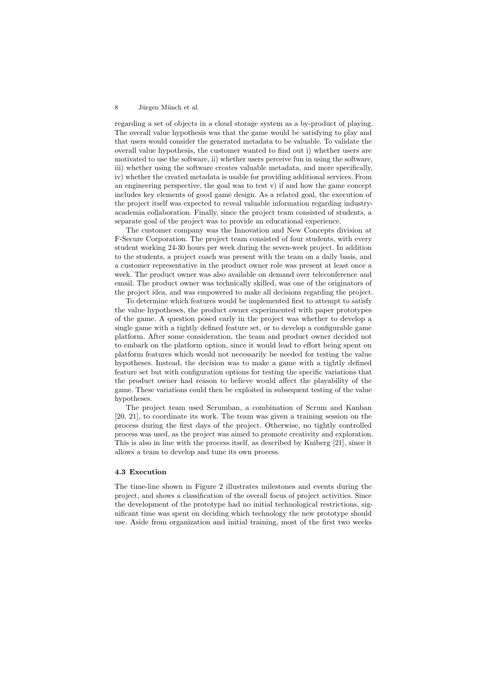regarding a set of objects in a cloud storage system as a by-product of playing. The overall value hypothesis was that the game would be satisfying to play and that users would consider the generated metadata to be valuable. To validate the overall value hypothesis, the customer wanted to find out i) whether users are motivated to use the software, ii) whether users perceive fun in using the software, iii) whether using the software creates valuable metadata, and more specifically, iv) whether the created metadata is usable for providing additional services. From an engineering perspective, the goal was to test v) if and how the game concept includes key elements of good game design. As a related goal, the execution of the project itself was expected to reveal valuable information regarding industryacademia collaboration. Finally, since the project team consisted of students, a separate goal of the project was to provide an educational experience.

The customer company was the Innovation and New Concepts division at F-Secure Corporation. The project team consisted of four students, with every student working 24-30 hours per week during the seven-week project. In addition to the students, a project coach was present with the team on a daily basis, and a customer representative in the product owner role was present at least once a week. The product owner was also available on demand over teleconference and email. The product owner was technically skilled, was one of the originators of the project idea, and was empowered to make all decisions regarding the project.

To determine which features would be implemented first to attempt to satisfy the value hypotheses, the product owner experimented with paper prototypes of the game. A question posed early in the project was whether to develop a single game with a tightly defined feature set, or to develop a configurable game platform. After some consideration, the team and product owner decided not to embark on the platform option, since it would lead to effort being spent on platform features which would not necessarily be needed for testing the value hypotheses. Instead, the decision was to make a game with a tightly defined feature set but with configuration options for testing the specific variations that the product owner had reason to believe would affect the playability of the game. These variations could then be exploited in subsequent testing of the value hypotheses.

The project team used Scrumban, a combination of Scrum and Kanban [20, 21], to coordinate its work. The team was given a training session on the process during the first days of the project. Otherwise, no tightly controlled process was used, as the project was aimed to promote creativity and exploration. This is also in line with the process itself, as described by Kniberg [21], since it allows a team to develop and tune its own process.

## 4.3 Execution

The time-line shown in Figure 2 illustrates milestones and events during the project, and shows a classification of the overall focus of project activities. Since the development of the prototype had no initial technological restrictions, significant time was spent on deciding which technology the new prototype should use. Aside from organization and initial training, most of the first two weeks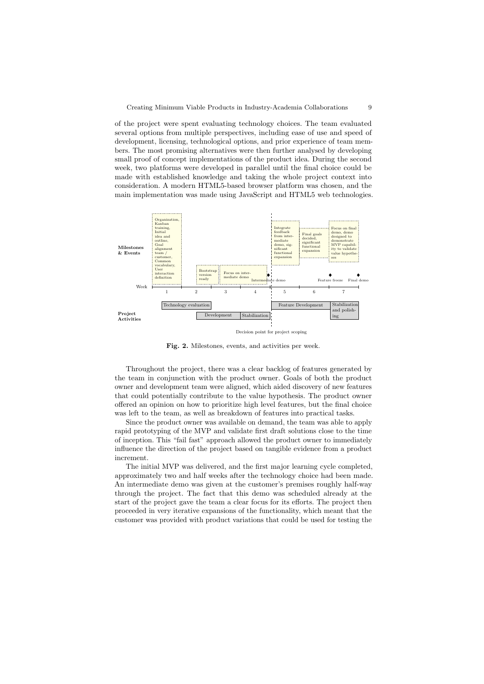of the project were spent evaluating technology choices. The team evaluated several options from multiple perspectives, including ease of use and speed of development, licensing, technological options, and prior experience of team members. The most promising alternatives were then further analysed by developing small proof of concept implementations of the product idea. During the second week, two platforms were developed in parallel until the final choice could be made with established knowledge and taking the whole project context into consideration. A modern HTML5-based browser platform was chosen, and the main implementation was made using JavaScript and HTML5 web technologies.



Fig. 2. Milestones, events, and activities per week.

Throughout the project, there was a clear backlog of features generated by the team in conjunction with the product owner. Goals of both the product owner and development team were aligned, which aided discovery of new features that could potentially contribute to the value hypothesis. The product owner offered an opinion on how to prioritize high level features, but the final choice was left to the team, as well as breakdown of features into practical tasks.

Since the product owner was available on demand, the team was able to apply rapid prototyping of the MVP and validate first draft solutions close to the time of inception. This "fail fast" approach allowed the product owner to immediately influence the direction of the project based on tangible evidence from a product increment.

The initial MVP was delivered, and the first major learning cycle completed, approximately two and half weeks after the technology choice had been made. An intermediate demo was given at the customer's premises roughly half-way through the project. The fact that this demo was scheduled already at the start of the project gave the team a clear focus for its efforts. The project then proceeded in very iterative expansions of the functionality, which meant that the customer was provided with product variations that could be used for testing the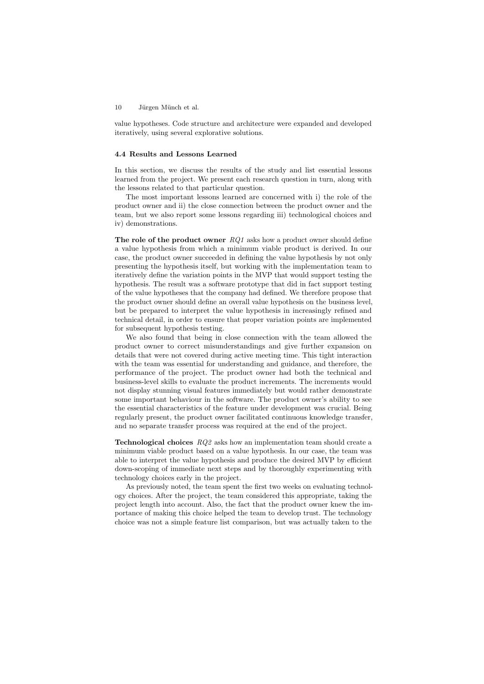value hypotheses. Code structure and architecture were expanded and developed iteratively, using several explorative solutions.

## 4.4 Results and Lessons Learned

In this section, we discuss the results of the study and list essential lessons learned from the project. We present each research question in turn, along with the lessons related to that particular question.

The most important lessons learned are concerned with i) the role of the product owner and ii) the close connection between the product owner and the team, but we also report some lessons regarding iii) technological choices and iv) demonstrations.

The role of the product owner *RQ1* asks how a product owner should define a value hypothesis from which a minimum viable product is derived. In our case, the product owner succeeded in defining the value hypothesis by not only presenting the hypothesis itself, but working with the implementation team to iteratively define the variation points in the MVP that would support testing the hypothesis. The result was a software prototype that did in fact support testing of the value hypotheses that the company had defined. We therefore propose that the product owner should define an overall value hypothesis on the business level, but be prepared to interpret the value hypothesis in increasingly refined and technical detail, in order to ensure that proper variation points are implemented for subsequent hypothesis testing.

We also found that being in close connection with the team allowed the product owner to correct misunderstandings and give further expansion on details that were not covered during active meeting time. This tight interaction with the team was essential for understanding and guidance, and therefore, the performance of the project. The product owner had both the technical and business-level skills to evaluate the product increments. The increments would not display stunning visual features immediately but would rather demonstrate some important behaviour in the software. The product owner's ability to see the essential characteristics of the feature under development was crucial. Being regularly present, the product owner facilitated continuous knowledge transfer, and no separate transfer process was required at the end of the project.

Technological choices *RQ2* asks how an implementation team should create a minimum viable product based on a value hypothesis. In our case, the team was able to interpret the value hypothesis and produce the desired MVP by efficient down-scoping of immediate next steps and by thoroughly experimenting with technology choices early in the project.

As previously noted, the team spent the first two weeks on evaluating technology choices. After the project, the team considered this appropriate, taking the project length into account. Also, the fact that the product owner knew the importance of making this choice helped the team to develop trust. The technology choice was not a simple feature list comparison, but was actually taken to the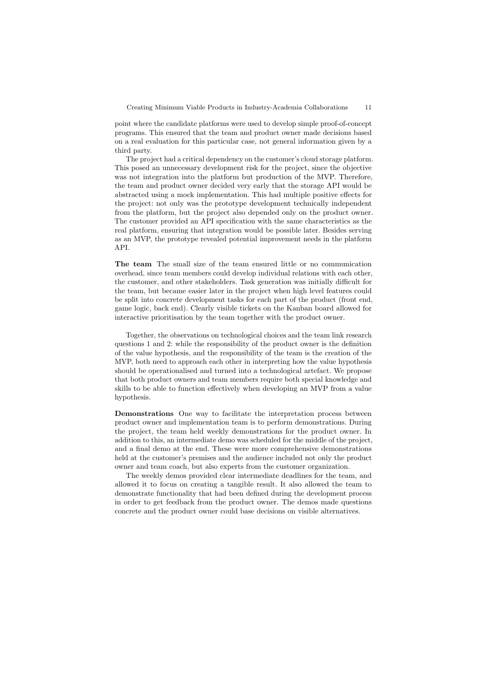point where the candidate platforms were used to develop simple proof-of-concept programs. This ensured that the team and product owner made decisions based on a real evaluation for this particular case, not general information given by a third party.

The project had a critical dependency on the customer's cloud storage platform. This posed an unnecessary development risk for the project, since the objective was not integration into the platform but production of the MVP. Therefore, the team and product owner decided very early that the storage API would be abstracted using a mock implementation. This had multiple positive effects for the project: not only was the prototype development technically independent from the platform, but the project also depended only on the product owner. The customer provided an API specification with the same characteristics as the real platform, ensuring that integration would be possible later. Besides serving as an MVP, the prototype revealed potential improvement needs in the platform API.

The team The small size of the team ensured little or no communication overhead, since team members could develop individual relations with each other, the customer, and other stakeholders. Task generation was initially difficult for the team, but became easier later in the project when high level features could be split into concrete development tasks for each part of the product (front end, game logic, back end). Clearly visible tickets on the Kanban board allowed for interactive prioritisation by the team together with the product owner.

Together, the observations on technological choices and the team link research questions 1 and 2: while the responsibility of the product owner is the definition of the value hypothesis, and the responsibility of the team is the creation of the MVP, both need to approach each other in interpreting how the value hypothesis should be operationalised and turned into a technological artefact. We propose that both product owners and team members require both special knowledge and skills to be able to function effectively when developing an MVP from a value hypothesis.

Demonstrations One way to facilitate the interpretation process between product owner and implementation team is to perform demonstrations. During the project, the team held weekly demonstrations for the product owner. In addition to this, an intermediate demo was scheduled for the middle of the project, and a final demo at the end. These were more comprehensive demonstrations held at the customer's premises and the audience included not only the product owner and team coach, but also experts from the customer organization.

The weekly demos provided clear intermediate deadlines for the team, and allowed it to focus on creating a tangible result. It also allowed the team to demonstrate functionality that had been defined during the development process in order to get feedback from the product owner. The demos made questions concrete and the product owner could base decisions on visible alternatives.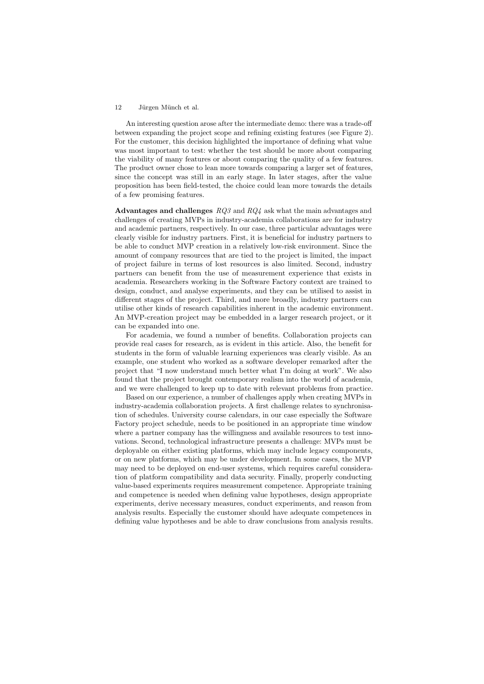An interesting question arose after the intermediate demo: there was a trade-off between expanding the project scope and refining existing features (see Figure 2). For the customer, this decision highlighted the importance of defining what value was most important to test: whether the test should be more about comparing the viability of many features or about comparing the quality of a few features. The product owner chose to lean more towards comparing a larger set of features, since the concept was still in an early stage. In later stages, after the value proposition has been field-tested, the choice could lean more towards the details of a few promising features.

Advantages and challenges *RQ3* and *RQ4* ask what the main advantages and challenges of creating MVPs in industry-academia collaborations are for industry and academic partners, respectively. In our case, three particular advantages were clearly visible for industry partners. First, it is beneficial for industry partners to be able to conduct MVP creation in a relatively low-risk environment. Since the amount of company resources that are tied to the project is limited, the impact of project failure in terms of lost resources is also limited. Second, industry partners can benefit from the use of measurement experience that exists in academia. Researchers working in the Software Factory context are trained to design, conduct, and analyse experiments, and they can be utilised to assist in different stages of the project. Third, and more broadly, industry partners can utilise other kinds of research capabilities inherent in the academic environment. An MVP-creation project may be embedded in a larger research project, or it can be expanded into one.

For academia, we found a number of benefits. Collaboration projects can provide real cases for research, as is evident in this article. Also, the benefit for students in the form of valuable learning experiences was clearly visible. As an example, one student who worked as a software developer remarked after the project that "I now understand much better what I'm doing at work". We also found that the project brought contemporary realism into the world of academia, and we were challenged to keep up to date with relevant problems from practice.

Based on our experience, a number of challenges apply when creating MVPs in industry-academia collaboration projects. A first challenge relates to synchronisation of schedules. University course calendars, in our case especially the Software Factory project schedule, needs to be positioned in an appropriate time window where a partner company has the willingness and available resources to test innovations. Second, technological infrastructure presents a challenge: MVPs must be deployable on either existing platforms, which may include legacy components, or on new platforms, which may be under development. In some cases, the MVP may need to be deployed on end-user systems, which requires careful consideration of platform compatibility and data security. Finally, properly conducting value-based experiments requires measurement competence. Appropriate training and competence is needed when defining value hypotheses, design appropriate experiments, derive necessary measures, conduct experiments, and reason from analysis results. Especially the customer should have adequate competences in defining value hypotheses and be able to draw conclusions from analysis results.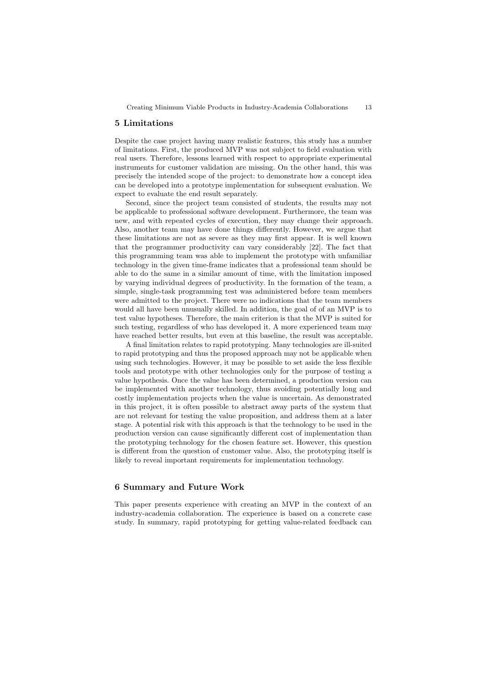## 5 Limitations

Despite the case project having many realistic features, this study has a number of limitations. First, the produced MVP was not subject to field evaluation with real users. Therefore, lessons learned with respect to appropriate experimental instruments for customer validation are missing. On the other hand, this was precisely the intended scope of the project: to demonstrate how a concept idea can be developed into a prototype implementation for subsequent evaluation. We expect to evaluate the end result separately.

Second, since the project team consisted of students, the results may not be applicable to professional software development. Furthermore, the team was new, and with repeated cycles of execution, they may change their approach. Also, another team may have done things differently. However, we argue that these limitations are not as severe as they may first appear. It is well known that the programmer productivity can vary considerably [22]. The fact that this programming team was able to implement the prototype with unfamiliar technology in the given time-frame indicates that a professional team should be able to do the same in a similar amount of time, with the limitation imposed by varying individual degrees of productivity. In the formation of the team, a simple, single-task programming test was administered before team members were admitted to the project. There were no indications that the team members would all have been unusually skilled. In addition, the goal of of an MVP is to test value hypotheses. Therefore, the main criterion is that the MVP is suited for such testing, regardless of who has developed it. A more experienced team may have reached better results, but even at this baseline, the result was acceptable.

A final limitation relates to rapid prototyping. Many technologies are ill-suited to rapid prototyping and thus the proposed approach may not be applicable when using such technologies. However, it may be possible to set aside the less flexible tools and prototype with other technologies only for the purpose of testing a value hypothesis. Once the value has been determined, a production version can be implemented with another technology, thus avoiding potentially long and costly implementation projects when the value is uncertain. As demonstrated in this project, it is often possible to abstract away parts of the system that are not relevant for testing the value proposition, and address them at a later stage. A potential risk with this approach is that the technology to be used in the production version can cause significantly different cost of implementation than the prototyping technology for the chosen feature set. However, this question is different from the question of customer value. Also, the prototyping itself is likely to reveal important requirements for implementation technology.

# 6 Summary and Future Work

This paper presents experience with creating an MVP in the context of an industry-academia collaboration. The experience is based on a concrete case study. In summary, rapid prototyping for getting value-related feedback can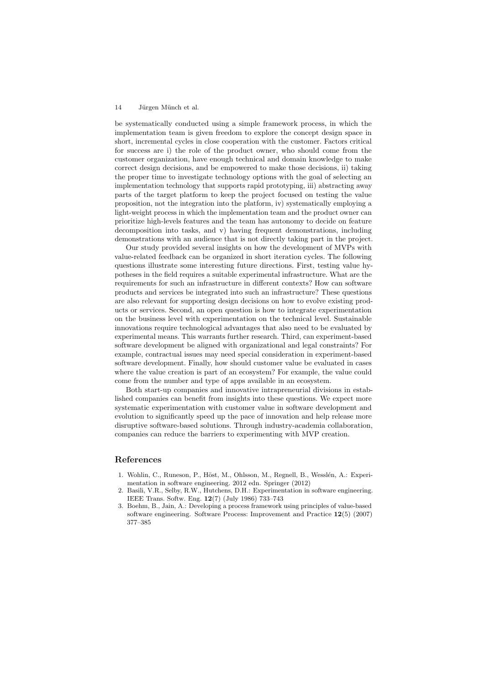be systematically conducted using a simple framework process, in which the implementation team is given freedom to explore the concept design space in short, incremental cycles in close cooperation with the customer. Factors critical for success are i) the role of the product owner, who should come from the customer organization, have enough technical and domain knowledge to make correct design decisions, and be empowered to make those decisions, ii) taking the proper time to investigate technology options with the goal of selecting an implementation technology that supports rapid prototyping, iii) abstracting away parts of the target platform to keep the project focused on testing the value proposition, not the integration into the platform, iv) systematically employing a light-weight process in which the implementation team and the product owner can prioritize high-levels features and the team has autonomy to decide on feature decomposition into tasks, and v) having frequent demonstrations, including demonstrations with an audience that is not directly taking part in the project.

Our study provided several insights on how the development of MVPs with value-related feedback can be organized in short iteration cycles. The following questions illustrate some interesting future directions. First, testing value hypotheses in the field requires a suitable experimental infrastructure. What are the requirements for such an infrastructure in different contexts? How can software products and services be integrated into such an infrastructure? These questions are also relevant for supporting design decisions on how to evolve existing products or services. Second, an open question is how to integrate experimentation on the business level with experimentation on the technical level. Sustainable innovations require technological advantages that also need to be evaluated by experimental means. This warrants further research. Third, can experiment-based software development be aligned with organizational and legal constraints? For example, contractual issues may need special consideration in experiment-based software development. Finally, how should customer value be evaluated in cases where the value creation is part of an ecosystem? For example, the value could come from the number and type of apps available in an ecosystem.

Both start-up companies and innovative intrapreneurial divisions in established companies can benefit from insights into these questions. We expect more systematic experimentation with customer value in software development and evolution to significantly speed up the pace of innovation and help release more disruptive software-based solutions. Through industry-academia collaboration, companies can reduce the barriers to experimenting with MVP creation.

# References

- 1. Wohlin, C., Runeson, P., Höst, M., Ohlsson, M., Regnell, B., Wesslén, A.: Experimentation in software engineering. 2012 edn. Springer (2012)
- 2. Basili, V.R., Selby, R.W., Hutchens, D.H.: Experimentation in software engineering. IEEE Trans. Softw. Eng. 12(7) (July 1986) 733–743
- 3. Boehm, B., Jain, A.: Developing a process framework using principles of value-based software engineering. Software Process: Improvement and Practice 12(5) (2007) 377–385